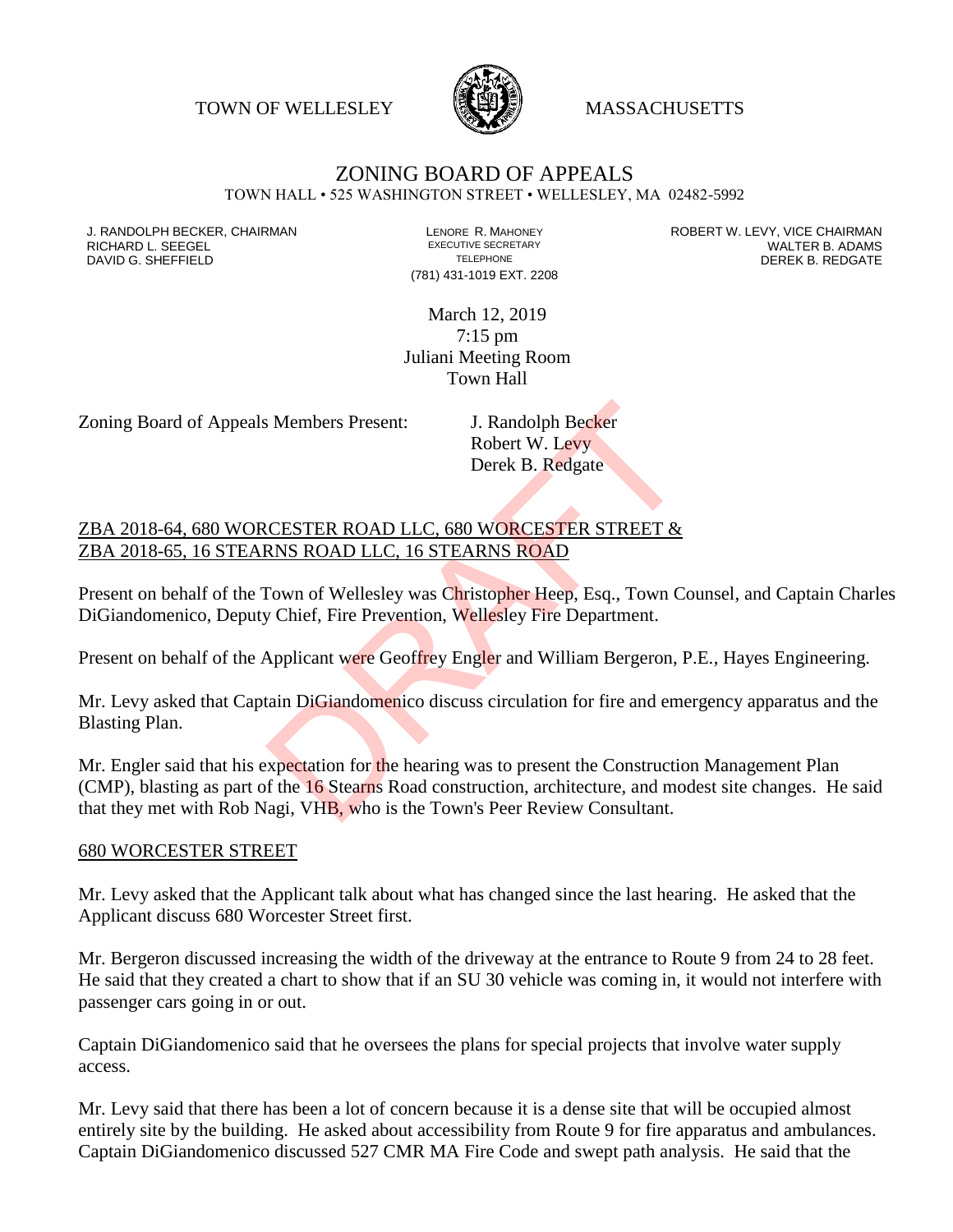TOWN OF WELLESLEY WASSACHUSETTS



## ZONING BOARD OF APPEALS

TOWN HALL • 525 WASHINGTON STREET • WELLESLEY, MA 02482-5992

DAVID G. SHEFFIELD

(781) 431-1019 EXT. 2208

J. RANDOLPH BECKER, CHAIRMAN LENORE R. MAHONEY LENORE R. MAHONEY ROBERT W. LEVY, VICE CHAIRMAN LENORE R. ADAMS<br>RICHARD L. SEEGEL LENDRE ADAMS EXECUTIVE SECRETARY LENORE R. ADAMS RICHARD L. SEEGEL EXECUTIVE SECRETARY WALTER B. ADAMS

> March 12, 2019 7:15 pm Juliani Meeting Room Town Hall

Zoning Board of Appeals Members Present: J. Randolph Becker

Robert W. Levy Derek B. Redgate

ZBA 2018-64, 680 WORCESTER ROAD LLC, 680 WORCESTER STREET & ZBA 2018-65, 16 STEARNS ROAD LLC, 16 STEARNS ROAD

Present on behalf of the Town of Wellesley was Christopher Heep, Esq., Town Counsel, and Captain Charles DiGiandomenico, Deputy Chief, Fire Prevention, Wellesley Fire Department.

Present on behalf of the Applicant were Geoffrey Engler and William Bergeron, P.E., Hayes Engineering.

Mr. Levy asked that Captain DiGiandomenico discuss circulation for fire and emergency apparatus and the Blasting Plan.

Mr. Engler said that his expectation for the hearing was to present the Construction Management Plan (CMP), blasting as part of the 16 Stearns Road construction, architecture, and modest site changes. He said that they met with Rob Nagi, VHB, who is the Town's Peer Review Consultant. S. Members Present: J. Randolph Becker<br>
Robert W. Levy<br>
Derek B. Redgate<br>
CESTER ROAD LLC, 680 WORCESTER STREET &<br>
RNS ROAD LLC, 16 STEARNS ROAD<br>
Fown of Wellesley was Christopher Heep, Esq., Town Cov<br>
Chief, Fire Preventi

## 680 WORCESTER STREET

Mr. Levy asked that the Applicant talk about what has changed since the last hearing. He asked that the Applicant discuss 680 Worcester Street first.

Mr. Bergeron discussed increasing the width of the driveway at the entrance to Route 9 from 24 to 28 feet. He said that they created a chart to show that if an SU 30 vehicle was coming in, it would not interfere with passenger cars going in or out.

Captain DiGiandomenico said that he oversees the plans for special projects that involve water supply access.

Mr. Levy said that there has been a lot of concern because it is a dense site that will be occupied almost entirely site by the building. He asked about accessibility from Route 9 for fire apparatus and ambulances. Captain DiGiandomenico discussed 527 CMR MA Fire Code and swept path analysis. He said that the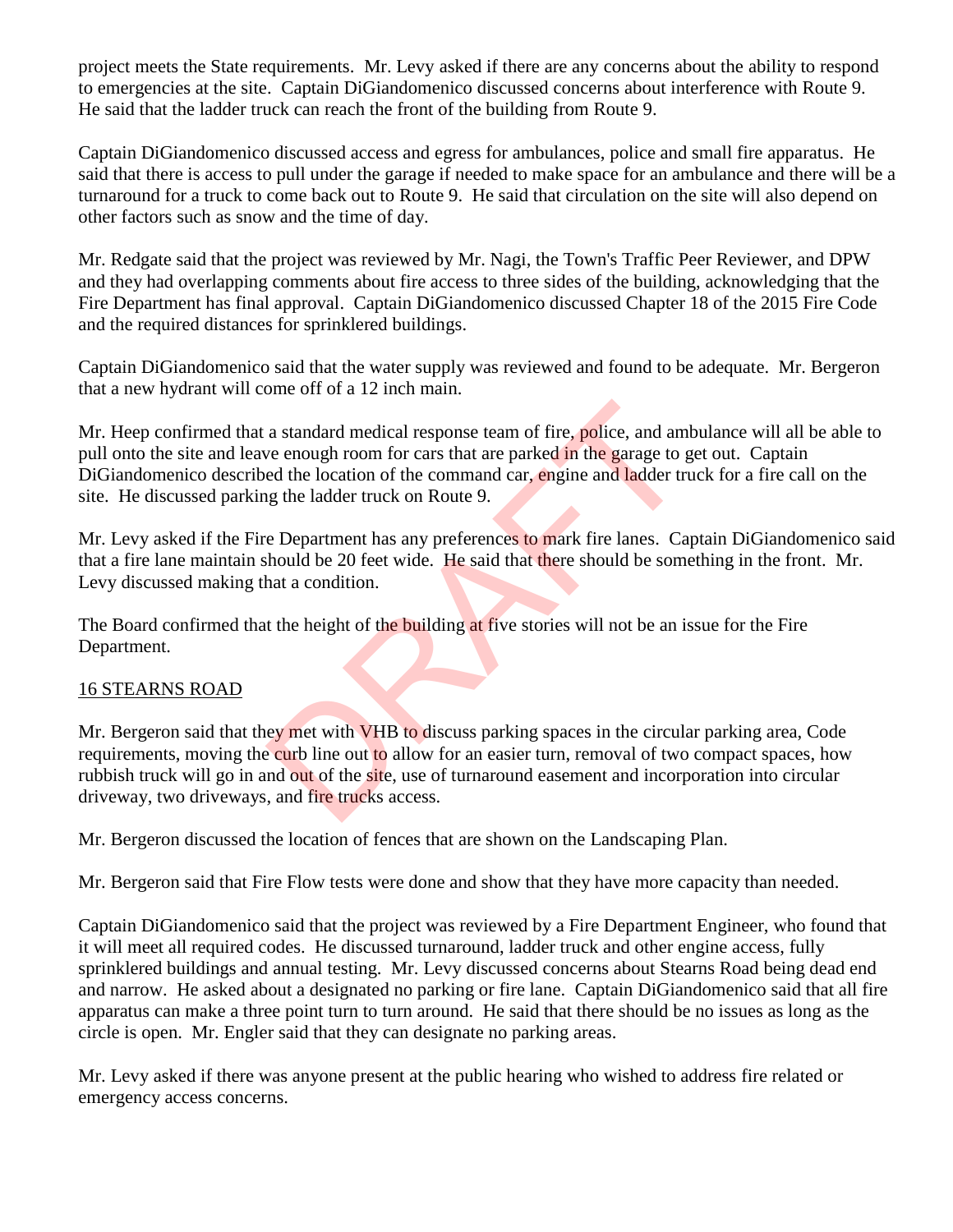project meets the State requirements. Mr. Levy asked if there are any concerns about the ability to respond to emergencies at the site. Captain DiGiandomenico discussed concerns about interference with Route 9. He said that the ladder truck can reach the front of the building from Route 9.

Captain DiGiandomenico discussed access and egress for ambulances, police and small fire apparatus. He said that there is access to pull under the garage if needed to make space for an ambulance and there will be a turnaround for a truck to come back out to Route 9. He said that circulation on the site will also depend on other factors such as snow and the time of day.

Mr. Redgate said that the project was reviewed by Mr. Nagi, the Town's Traffic Peer Reviewer, and DPW and they had overlapping comments about fire access to three sides of the building, acknowledging that the Fire Department has final approval. Captain DiGiandomenico discussed Chapter 18 of the 2015 Fire Code and the required distances for sprinklered buildings.

Captain DiGiandomenico said that the water supply was reviewed and found to be adequate. Mr. Bergeron that a new hydrant will come off of a 12 inch main.

Mr. Heep confirmed that a standard medical response team of fire, police, and ambulance will all be able to pull onto the site and leave enough room for cars that are parked in the garage to get out. Captain DiGiandomenico described the location of the command car, engine and ladder truck for a fire call on the site. He discussed parking the ladder truck on Route 9.

Mr. Levy asked if the Fire Department has any preferences to mark fire lanes. Captain DiGiandomenico said that a fire lane maintain should be 20 feet wide. He said that there should be something in the front. Mr. Levy discussed making that a condition.

The Board confirmed that the height of the building at five stories will not be an issue for the Fire Department.

## 16 STEARNS ROAD

Mr. Bergeron said that they met with VHB to discuss parking spaces in the circular parking area, Code requirements, moving the curb line out to allow for an easier turn, removal of two compact spaces, how rubbish truck will go in and out of the site, use of turnaround easement and incorporation into circular driveway, two driveways, and fire trucks access. a standard medical response team of fire, police, and am<br>ve enough room for cars that are parked in the garage to g<br>ed the location of the command car, engine and ladder trug the ladder truck on Route 9.<br>Pepartment has any

Mr. Bergeron discussed the location of fences that are shown on the Landscaping Plan.

Mr. Bergeron said that Fire Flow tests were done and show that they have more capacity than needed.

Captain DiGiandomenico said that the project was reviewed by a Fire Department Engineer, who found that it will meet all required codes. He discussed turnaround, ladder truck and other engine access, fully sprinklered buildings and annual testing. Mr. Levy discussed concerns about Stearns Road being dead end and narrow. He asked about a designated no parking or fire lane. Captain DiGiandomenico said that all fire apparatus can make a three point turn to turn around. He said that there should be no issues as long as the circle is open. Mr. Engler said that they can designate no parking areas.

Mr. Levy asked if there was anyone present at the public hearing who wished to address fire related or emergency access concerns.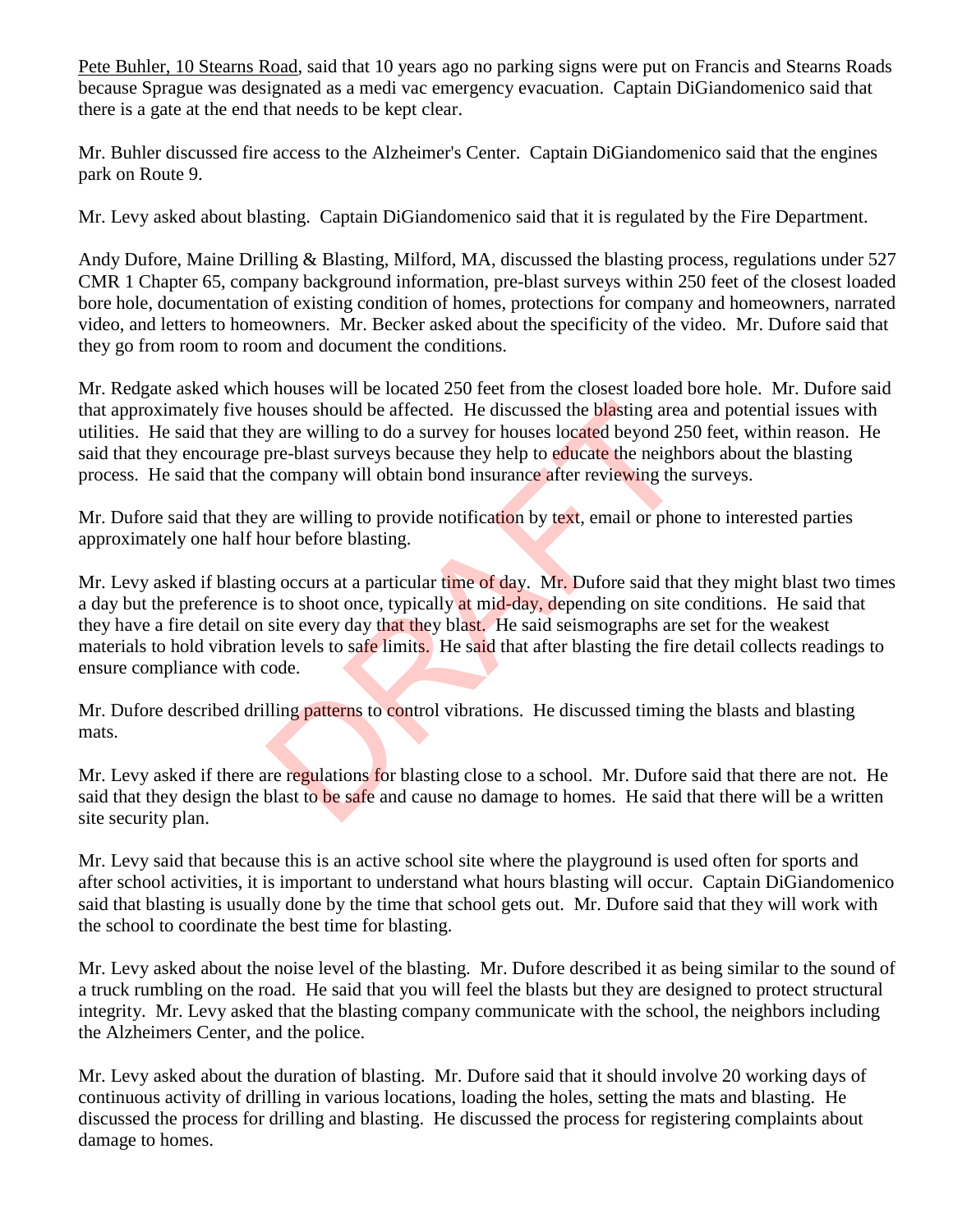Pete Buhler, 10 Stearns Road, said that 10 years ago no parking signs were put on Francis and Stearns Roads because Sprague was designated as a medi vac emergency evacuation. Captain DiGiandomenico said that there is a gate at the end that needs to be kept clear.

Mr. Buhler discussed fire access to the Alzheimer's Center. Captain DiGiandomenico said that the engines park on Route 9.

Mr. Levy asked about blasting. Captain DiGiandomenico said that it is regulated by the Fire Department.

Andy Dufore, Maine Drilling & Blasting, Milford, MA, discussed the blasting process, regulations under 527 CMR 1 Chapter 65, company background information, pre-blast surveys within 250 feet of the closest loaded bore hole, documentation of existing condition of homes, protections for company and homeowners, narrated video, and letters to homeowners. Mr. Becker asked about the specificity of the video. Mr. Dufore said that they go from room to room and document the conditions.

Mr. Redgate asked which houses will be located 250 feet from the closest loaded bore hole. Mr. Dufore said that approximately five houses should be affected. He discussed the blasting area and potential issues with utilities. He said that they are willing to do a survey for houses located beyond 250 feet, within reason. He said that they encourage pre-blast surveys because they help to educate the neighbors about the blasting process. He said that the company will obtain bond insurance after reviewing the surveys.

Mr. Dufore said that they are willing to provide notification by text, email or phone to interested parties approximately one half hour before blasting.

Mr. Levy asked if blasting occurs at a particular time of day. Mr. Dufore said that they might blast two times a day but the preference is to shoot once, typically at mid-day, depending on site conditions. He said that they have a fire detail on site every day that they blast. He said seismographs are set for the weakest materials to hold vibration levels to safe limits. He said that after blasting the fire detail collects readings to ensure compliance with code. ouses should be affected. He discussed the blasting area<br>y are willing to do a survey for houses located beyond 25<br>pre-blast surveys because they help to educate the neight<br>company will obtain bond insurance after reviewin

Mr. Dufore described drilling patterns to control vibrations. He discussed timing the blasts and blasting mats.

Mr. Levy asked if there are regulations for blasting close to a school. Mr. Dufore said that there are not. He said that they design the blast to be safe and cause no damage to homes. He said that there will be a written site security plan.

Mr. Levy said that because this is an active school site where the playground is used often for sports and after school activities, it is important to understand what hours blasting will occur. Captain DiGiandomenico said that blasting is usually done by the time that school gets out. Mr. Dufore said that they will work with the school to coordinate the best time for blasting.

Mr. Levy asked about the noise level of the blasting. Mr. Dufore described it as being similar to the sound of a truck rumbling on the road. He said that you will feel the blasts but they are designed to protect structural integrity. Mr. Levy asked that the blasting company communicate with the school, the neighbors including the Alzheimers Center, and the police.

Mr. Levy asked about the duration of blasting. Mr. Dufore said that it should involve 20 working days of continuous activity of drilling in various locations, loading the holes, setting the mats and blasting. He discussed the process for drilling and blasting. He discussed the process for registering complaints about damage to homes.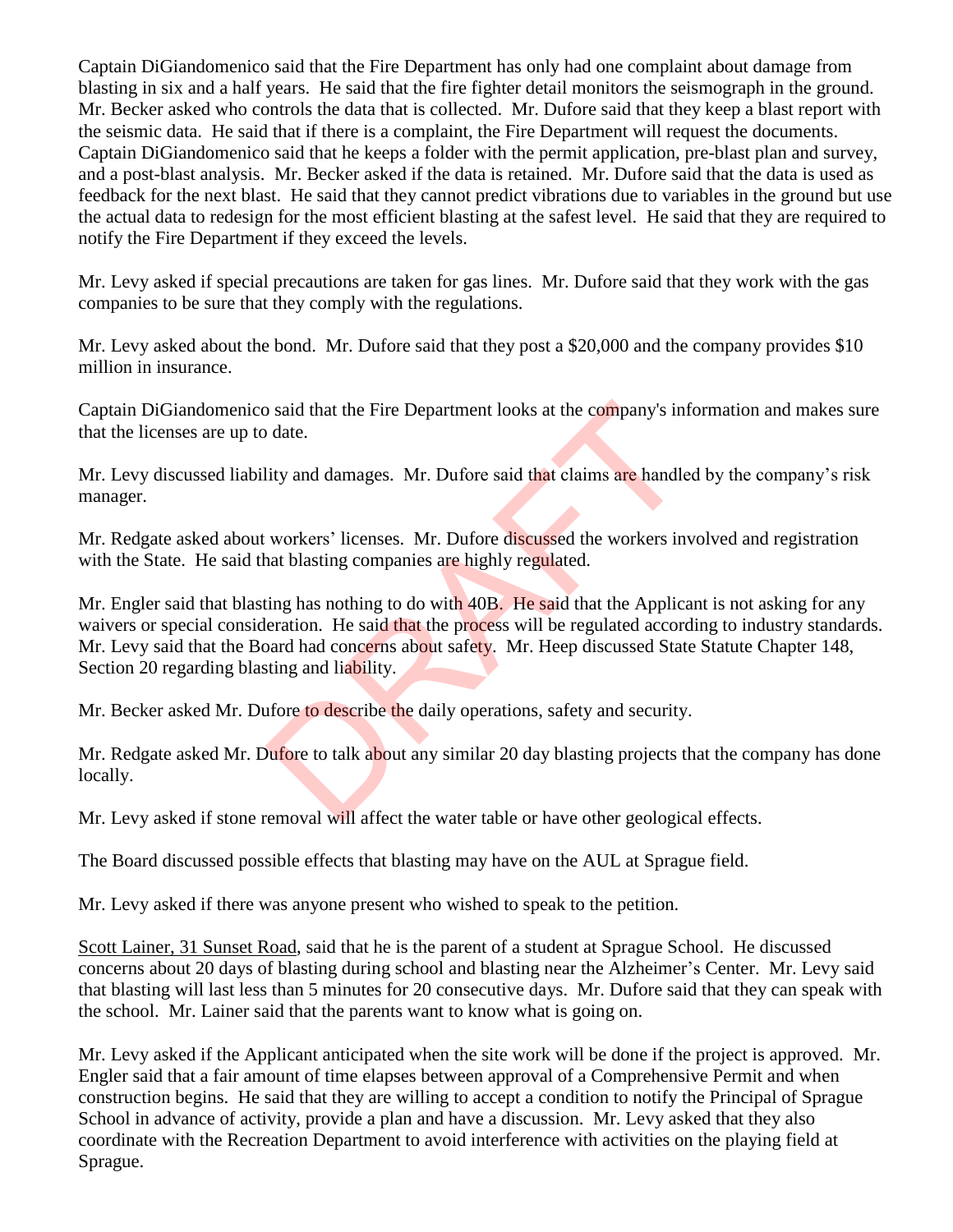Captain DiGiandomenico said that the Fire Department has only had one complaint about damage from blasting in six and a half years. He said that the fire fighter detail monitors the seismograph in the ground. Mr. Becker asked who controls the data that is collected. Mr. Dufore said that they keep a blast report with the seismic data. He said that if there is a complaint, the Fire Department will request the documents. Captain DiGiandomenico said that he keeps a folder with the permit application, pre-blast plan and survey, and a post-blast analysis. Mr. Becker asked if the data is retained. Mr. Dufore said that the data is used as feedback for the next blast. He said that they cannot predict vibrations due to variables in the ground but use the actual data to redesign for the most efficient blasting at the safest level. He said that they are required to notify the Fire Department if they exceed the levels.

Mr. Levy asked if special precautions are taken for gas lines. Mr. Dufore said that they work with the gas companies to be sure that they comply with the regulations.

Mr. Levy asked about the bond. Mr. Dufore said that they post a \$20,000 and the company provides \$10 million in insurance.

Captain DiGiandomenico said that the Fire Department looks at the company's information and makes sure that the licenses are up to date.

Mr. Levy discussed liability and damages. Mr. Dufore said that claims are handled by the company's risk manager.

Mr. Redgate asked about workers' licenses. Mr. Dufore discussed the workers involved and registration with the State. He said that blasting companies are highly regulated.

Mr. Engler said that blasting has nothing to do with 40B. He said that the Applicant is not asking for any waivers or special consideration. He said that the process will be regulated according to industry standards. Mr. Levy said that the Board had concerns about safety. Mr. Heep discussed State Statute Chapter 148, Section 20 regarding blasting and liability. So said that the Fire Department looks at the company's induction<br>date.<br>It is date.<br>It is date.<br>It is and damages. Mr. Dufore said that claims are handle<br>workers' licenses. Mr. Dufore discussed the workers in<br>a blasting co

Mr. Becker asked Mr. Dufore to describe the daily operations, safety and security.

Mr. Redgate asked Mr. Dufore to talk about any similar 20 day blasting projects that the company has done locally.

Mr. Levy asked if stone removal will affect the water table or have other geological effects.

The Board discussed possible effects that blasting may have on the AUL at Sprague field.

Mr. Levy asked if there was anyone present who wished to speak to the petition.

Scott Lainer, 31 Sunset Road, said that he is the parent of a student at Sprague School. He discussed concerns about 20 days of blasting during school and blasting near the Alzheimer's Center. Mr. Levy said that blasting will last less than 5 minutes for 20 consecutive days. Mr. Dufore said that they can speak with the school. Mr. Lainer said that the parents want to know what is going on.

Mr. Levy asked if the Applicant anticipated when the site work will be done if the project is approved. Mr. Engler said that a fair amount of time elapses between approval of a Comprehensive Permit and when construction begins. He said that they are willing to accept a condition to notify the Principal of Sprague School in advance of activity, provide a plan and have a discussion. Mr. Levy asked that they also coordinate with the Recreation Department to avoid interference with activities on the playing field at Sprague.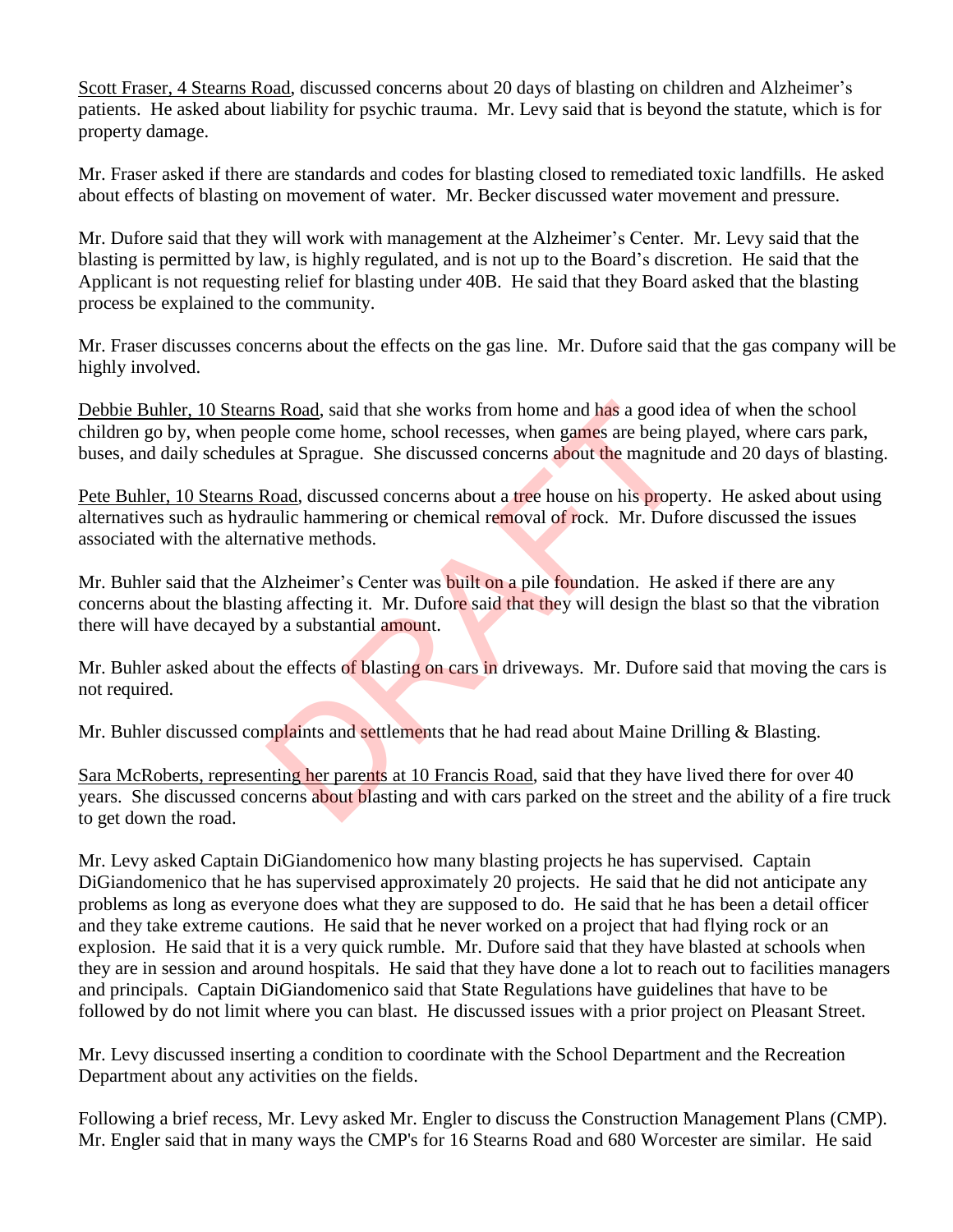Scott Fraser, 4 Stearns Road, discussed concerns about 20 days of blasting on children and Alzheimer's patients. He asked about liability for psychic trauma. Mr. Levy said that is beyond the statute, which is for property damage.

Mr. Fraser asked if there are standards and codes for blasting closed to remediated toxic landfills. He asked about effects of blasting on movement of water. Mr. Becker discussed water movement and pressure.

Mr. Dufore said that they will work with management at the Alzheimer's Center. Mr. Levy said that the blasting is permitted by law, is highly regulated, and is not up to the Board's discretion. He said that the Applicant is not requesting relief for blasting under 40B. He said that they Board asked that the blasting process be explained to the community.

Mr. Fraser discusses concerns about the effects on the gas line. Mr. Dufore said that the gas company will be highly involved.

Debbie Buhler, 10 Stearns Road, said that she works from home and has a good idea of when the school children go by, when people come home, school recesses, when games are being played, where cars park, buses, and daily schedules at Sprague. She discussed concerns about the magnitude and 20 days of blasting. Is Road, said that she works from home and has a good is<br>ple come home, school recesses, when games are being jes at Sprague. She discussed concerns about the magniture<br>document at the magnitude of rock. Mr. Dufore and the

Pete Buhler, 10 Stearns Road, discussed concerns about a tree house on his property. He asked about using alternatives such as hydraulic hammering or chemical removal of rock. Mr. Dufore discussed the issues associated with the alternative methods.

Mr. Buhler said that the Alzheimer's Center was **built on** a pile foundation. He asked if there are any concerns about the blasting affecting it. Mr. Dufore said that they will design the blast so that the vibration there will have decayed by a substantial amount.

Mr. Buhler asked about the effects of blasting on cars in driveways. Mr. Dufore said that moving the cars is not required.

Mr. Buhler discussed complaints and settlements that he had read about Maine Drilling & Blasting.

Sara McRoberts, representing her parents at 10 Francis Road, said that they have lived there for over 40 years. She discussed concerns about blasting and with cars parked on the street and the ability of a fire truck to get down the road.

Mr. Levy asked Captain DiGiandomenico how many blasting projects he has supervised. Captain DiGiandomenico that he has supervised approximately 20 projects. He said that he did not anticipate any problems as long as everyone does what they are supposed to do. He said that he has been a detail officer and they take extreme cautions. He said that he never worked on a project that had flying rock or an explosion. He said that it is a very quick rumble. Mr. Dufore said that they have blasted at schools when they are in session and around hospitals. He said that they have done a lot to reach out to facilities managers and principals. Captain DiGiandomenico said that State Regulations have guidelines that have to be followed by do not limit where you can blast. He discussed issues with a prior project on Pleasant Street.

Mr. Levy discussed inserting a condition to coordinate with the School Department and the Recreation Department about any activities on the fields.

Following a brief recess, Mr. Levy asked Mr. Engler to discuss the Construction Management Plans (CMP). Mr. Engler said that in many ways the CMP's for 16 Stearns Road and 680 Worcester are similar. He said